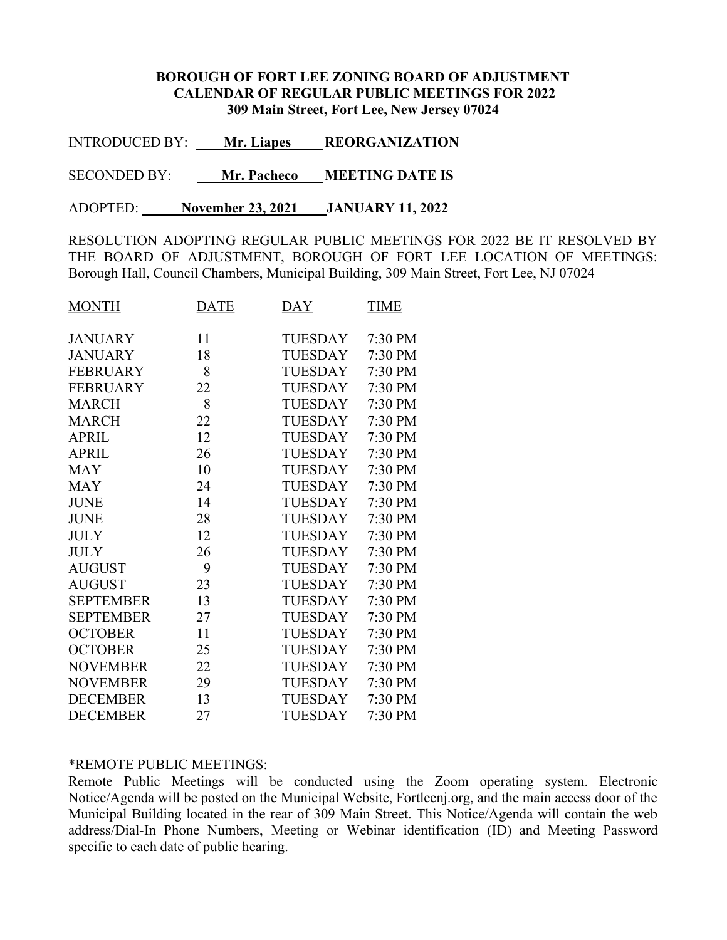## BOROUGH OF FORT LEE ZONING BOARD OF ADJUSTMENT CALENDAR OF REGULAR PUBLIC MEETINGS FOR 2022 309 Main Street, Fort Lee, New Jersey 07024

INTRODUCED BY: Mr. Liapes REORGANIZATION

SECONDED BY: Mr. Pacheco MEETING DATE IS

ADOPTED: \_\_\_\_ November 23, 2021 JANUARY 11, 2022

RESOLUTION ADOPTING REGULAR PUBLIC MEETINGS FOR 2022 BE IT RESOLVED BY THE BOARD OF ADJUSTMENT, BOROUGH OF FORT LEE LOCATION OF MEETINGS: Borough Hall, Council Chambers, Municipal Building, 309 Main Street, Fort Lee, NJ 07024

| <b>MONTH</b>     | <b>DATE</b> | $\overline{DAY}$ | <b>TIME</b> |
|------------------|-------------|------------------|-------------|
| <b>JANUARY</b>   | 11          | TUESDAY          | 7:30 PM     |
| <b>JANUARY</b>   | 18          | TUESDAY          | 7:30 PM     |
| <b>FEBRUARY</b>  | 8           | TUESDAY          | 7:30 PM     |
| <b>FEBRUARY</b>  | 22          | <b>TUESDAY</b>   | 7:30 PM     |
| <b>MARCH</b>     | 8           | TUESDAY          | 7:30 PM     |
| <b>MARCH</b>     | 22          | <b>TUESDAY</b>   | 7:30 PM     |
| <b>APRIL</b>     | 12          | TUESDAY          | 7:30 PM     |
| <b>APRIL</b>     | 26          | TUESDAY          | 7:30 PM     |
| <b>MAY</b>       | 10          | TUESDAY          | 7:30 PM     |
| <b>MAY</b>       | 24          | TUESDAY          | 7:30 PM     |
| <b>JUNE</b>      | 14          | <b>TUESDAY</b>   | 7:30 PM     |
| <b>JUNE</b>      | 28          | <b>TUESDAY</b>   | 7:30 PM     |
| <b>JULY</b>      | 12          | <b>TUESDAY</b>   | 7:30 PM     |
| <b>JULY</b>      | 26          | <b>TUESDAY</b>   | 7:30 PM     |
| <b>AUGUST</b>    | 9           | TUESDAY          | 7:30 PM     |
| <b>AUGUST</b>    | 23          | TUESDAY          | 7:30 PM     |
| <b>SEPTEMBER</b> | 13          | <b>TUESDAY</b>   | 7:30 PM     |
| <b>SEPTEMBER</b> | 27          | <b>TUESDAY</b>   | 7:30 PM     |
| <b>OCTOBER</b>   | 11          | <b>TUESDAY</b>   | 7:30 PM     |
| <b>OCTOBER</b>   | 25          | <b>TUESDAY</b>   | 7:30 PM     |
| <b>NOVEMBER</b>  | 22          | <b>TUESDAY</b>   | 7:30 PM     |
| <b>NOVEMBER</b>  | 29          | TUESDAY          | 7:30 PM     |
| <b>DECEMBER</b>  | 13          | TUESDAY          | 7:30 PM     |
| <b>DECEMBER</b>  | 27          | <b>TUESDAY</b>   | 7:30 PM     |

## \*REMOTE PUBLIC MEETINGS:

Remote Public Meetings will be conducted using the Zoom operating system. Electronic Notice/Agenda will be posted on the Municipal Website, Fortleenj.org, and the main access door of the Municipal Building located in the rear of 309 Main Street. This Notice/Agenda will contain the web address/Dial-In Phone Numbers, Meeting or Webinar identification (ID) and Meeting Password specific to each date of public hearing.